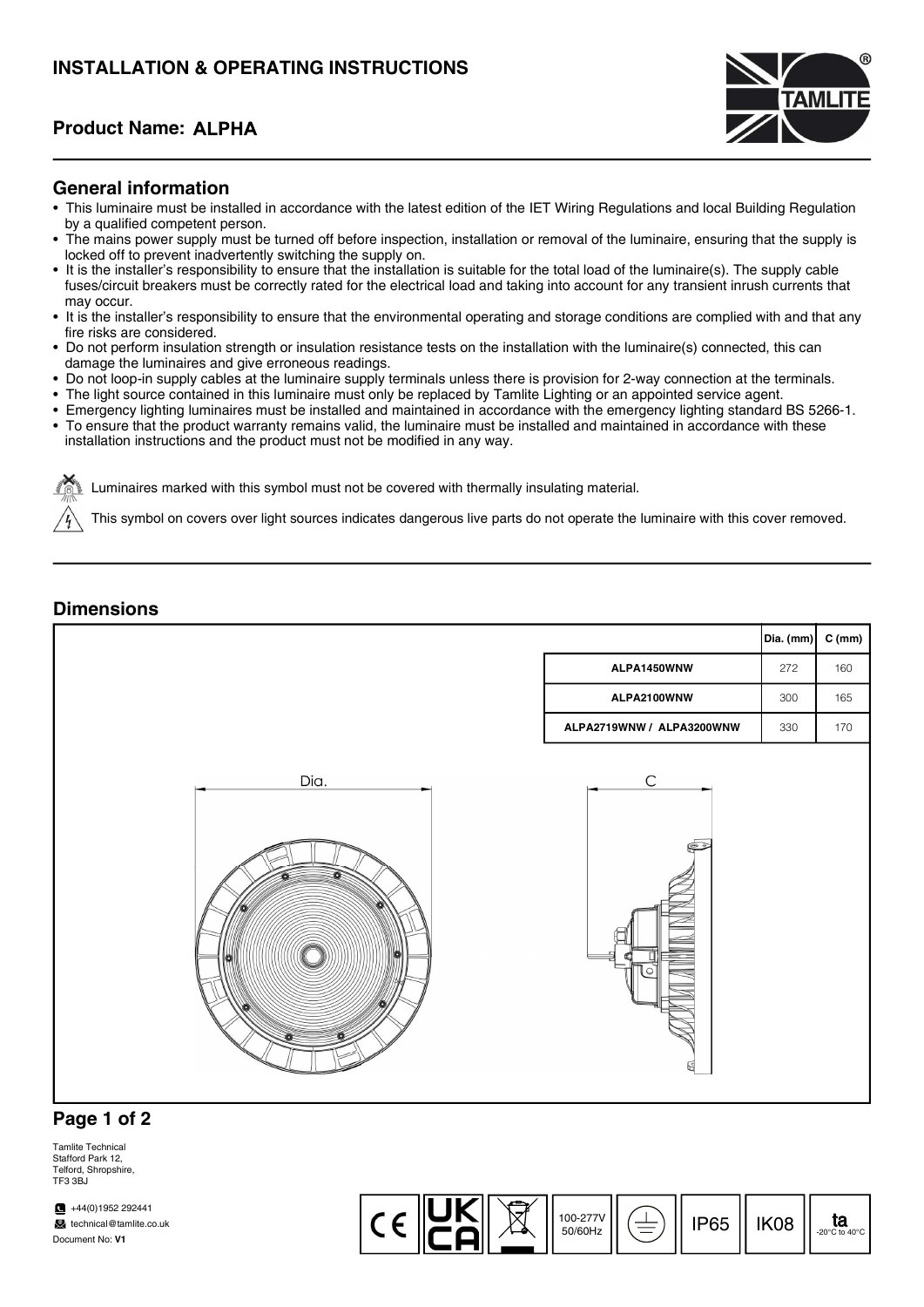### Product Name:



#### General information

- This luminaire must be installed in accordance with the latest edition of the IET Wiring Regulations and local Building Regulation by a qualified competent person.
- The mains power supply must be turned off before inspection, installation or removal of the luminaire, ensuring that the supply is locked off to prevent inadvertently switching the supply on.
- It is the installer's responsibility to ensure that the installation is suitable for the total load of the luminaire(s). The supply cable fuses/circuit breakers must be correctly rated for the electrical load and taking into account for any transient inrush currents that may occur.
- It is the installer's responsibility to ensure that the environmental operating and storage conditions are complied with and that any fire risks are considered.
- Do not perform insulation strength or insulation resistance tests on the installation with the luminaire(s) connected, this can damage the luminaires and give erroneous readings.
- Do not loop-in supply cables at the luminaire supply terminals unless there is provision for 2-way connection at the terminals.
- The light source contained in this luminaire must only be replaced by Tamlite Lighting or an appointed service agent.
- Emergency lighting luminaires must be installed and maintained in accordance with the emergency lighting standard BS 5266-1.
- To ensure that the product warranty remains valid, the luminaire must be installed and maintained in accordance with these installation instructions and the product must not be modified in any way.

Luminaires marked with this symbol must not be covered with thermally insulating material.

This symbol on covers over light sources indicates dangerous live parts do not operate the luminaire with this cover removed.

#### **Dimensions**



### Page 1 of 2

Tamlite Technical Stafford Park 12, Telford, Shropshire, TF3 3BJ

 $\blacksquare$  +44(0)1952 292441 technical@tamlite.co.uk Document No: V1